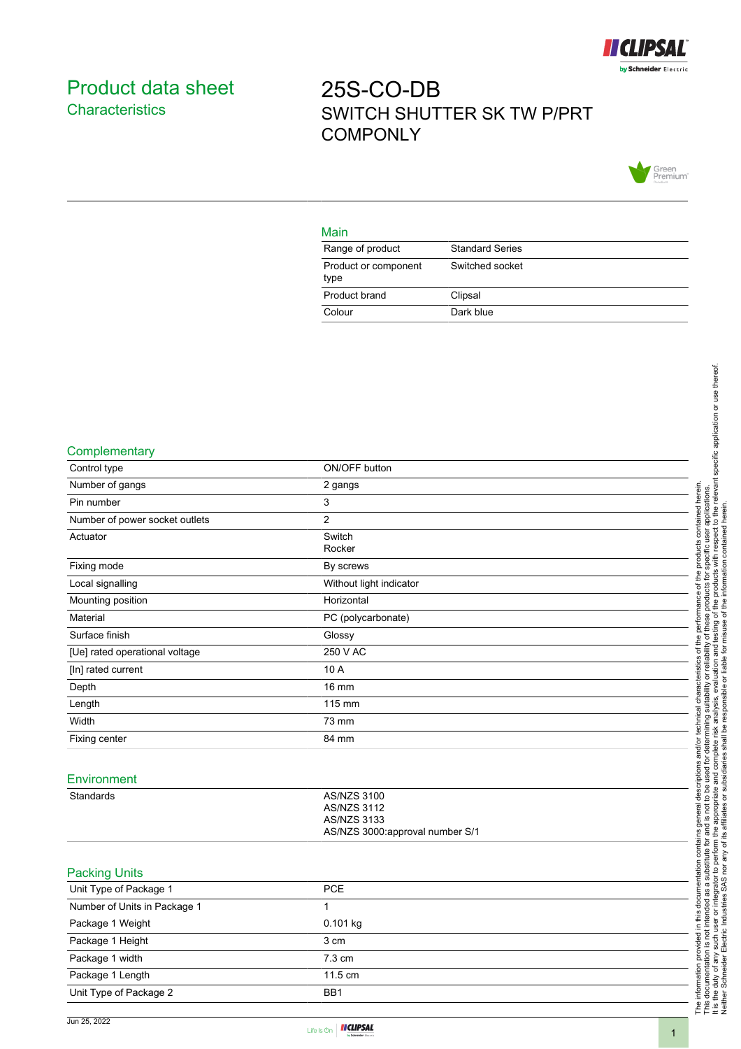

## <span id="page-0-0"></span>Product data sheet **Characteristics**

# 25S-CO-DB SWITCH SHUTTER SK TW P/PRT **COMPONLY**



#### Main

| Range of product             | <b>Standard Series</b> |
|------------------------------|------------------------|
| Product or component<br>type | Switched socket        |
| Product brand                | Clipsal                |
| Colour                       | Dark blue              |

#### **Complementary**

| Control type                   | ON/OFF button                   |
|--------------------------------|---------------------------------|
| Number of gangs                | 2 gangs                         |
| Pin number                     | $\mathbf{3}$                    |
| Number of power socket outlets | $\overline{2}$                  |
| Actuator                       | Switch                          |
|                                | Rocker                          |
| Fixing mode                    | By screws                       |
| Local signalling               | Without light indicator         |
| Mounting position              | Horizontal                      |
| Material                       | PC (polycarbonate)              |
| Surface finish                 | Glossy                          |
| [Ue] rated operational voltage | 250 V AC                        |
| [In] rated current             | 10 A                            |
| Depth                          | <b>16 mm</b>                    |
| Length                         | 115 mm                          |
| Width                          | 73 mm                           |
| Fixing center                  | 84 mm                           |
|                                |                                 |
| Environment                    |                                 |
| Standards                      | <b>AS/NZS 3100</b>              |
|                                | <b>AS/NZS 3112</b>              |
|                                | <b>AS/NZS 3133</b>              |
|                                | AS/NZS 3000:approval number S/1 |
|                                |                                 |
| <b>Packing Units</b>           |                                 |
| Unit Type of Package 1         | PCE                             |
| Number of Units in Package 1   | 1                               |
| Package 1 Weight               | 0.101 kg                        |
| Package 1 Height               | 3 cm                            |
| Package 1 width                | 7.3 cm                          |
| Package 1 Length               | 11.5 cm                         |

Unit Type of Package 2 BB1